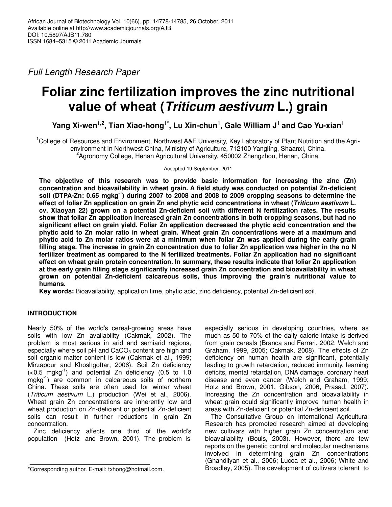Full Length Research Paper

# **Foliar zinc fertilization improves the zinc nutritional value of wheat (Triticum aestivum L.) grain**

**Yang Xi-wen1,2, Tian Xiao-hong1\*, Lu Xin-chun<sup>1</sup> , Gale William J<sup>1</sup> and Cao Yu-xian<sup>1</sup>**

<sup>1</sup>College of Resources and Environment, Northwest A&F University, Key Laboratory of Plant Nutrition and the Agrienvironment in Northwest China, Ministry of Agriculture, 712100 Yangling, Shaanxi, China. <sup>2</sup>Agronomy College, Henan Agricultural University, 450002 Zhengzhou, Henan, China.

Accepted 19 September, 2011

**The objective of this research was to provide basic information for increasing the zinc (Zn) concentration and bioavailability in wheat grain. A field study was conducted on potential Zn-deficient soil (DTPA-Zn: 0.65 mgkg-1) during 2007 to 2008 and 2008 to 2009 cropping seasons to determine the effect of foliar Zn application on grain Zn and phytic acid concentrations in wheat (Triticum aestivum L. cv. Xiaoyan 22) grown on a potential Zn-deficient soil with different N fertilization rates. The results show that foliar Zn application increased grain Zn concentrations in both cropping seasons, but had no significant effect on grain yield. Foliar Zn application decreased the phytic acid concentration and the phytic acid to Zn molar ratio in wheat grain. Wheat grain Zn concentrations were at a maximum and phytic acid to Zn molar ratios were at a minimum when foliar Zn was applied during the early grain filling stage. The increase in grain Zn concentration due to foliar Zn application was higher in the no N fertilizer treatment as compared to the N fertilized treatments. Foliar Zn application had no significant effect on wheat grain protein concentration. In summary, these results indicate that foliar Zn application at the early grain filling stage significantly increased grain Zn concentration and bioavailability in wheat grown on potential Zn-deficient calcareous soils, thus improving the grain's nutritional value to humans.** 

**Key words:** Bioavailability, application time, phytic acid, zinc deficiency, potential Zn-deficient soil.

## **INTRODUCTION**

Nearly 50% of the world's cereal-growing areas have soils with low Zn availability (Cakmak, 2002). The problem is most serious in arid and semiarid regions, especially where soil pH and  $CaCO<sub>3</sub>$  content are high and soil organic matter content is low (Cakmak et al., 1999; Mirzapour and Khoshgoftar, 2006). Soil Zn deficiency  $( $0.5 \text{ mghg}^{-1}$ )$  and potential Zn deficiency (0.5 to 1.0 mgkg<sup>-1</sup>) are common in calcareous soils of northern China. These soils are often used for winter wheat (Triticum aestivum L.) production (Wei et al., 2006). Wheat grain Zn concentrations are inherently low and wheat production on Zn-deficient or potential Zn-deficient soils can result in further reductions in grain Zn concentration.

Zinc deficiency affects one third of the world's population (Hotz and Brown, 2001). The problem is

especially serious in developing countries, where as much as 50 to 70% of the daily calorie intake is derived from grain cereals (Branca and Ferrari, 2002; Welch and Graham, 1999, 2005; Cakmak, 2008). The effects of Zn deficiency on human health are significant, potentially leading to growth retardation, reduced immunity, learning deficits, mental retardation, DNA damage, coronary heart disease and even cancer (Welch and Graham, 1999; Hotz and Brown, 2001; Gibson, 2006; Prasad, 2007). Increasing the Zn concentration and bioavailability in wheat grain could significantly improve human health in areas with Zn-deficient or potential Zn-deficient soil.

The Consultative Group on International Agricultural Research has promoted research aimed at developing new cultivars with higher grain Zn concentration and bioavailability (Bouis, 2003). However, there are few reports on the genetic control and molecular mechanisms involved in determining grain Zn concentrations (Ghandilyan et al., 2006; Lucca et al., 2006; White and Broadley, 2005). The development of cultivars tolerant to

<sup>\*</sup>Corresponding author. E-mail: txhong@hotmail.com.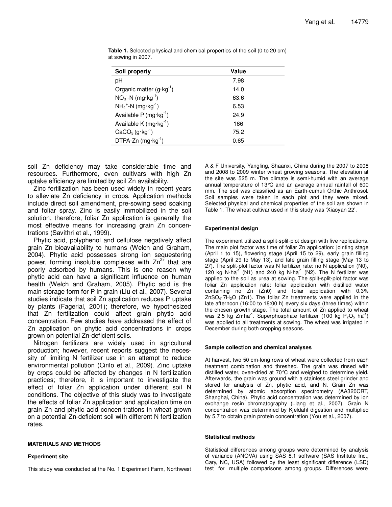| Soil property                      | Value |
|------------------------------------|-------|
| рH                                 | 7.98  |
| Organic matter $(g \cdot kg^{-1})$ | 14.0  |
| $NO3$ -N (mg·kg <sup>-1</sup> )    | 63.6  |
| $NH_4^+$ -N (mg·kg <sup>-1</sup> ) | 6.53  |
| Available P $(mg \cdot kg^{-1})$   | 24.9  |
| Available K $(mg \cdot kg^{-1})$   | 166   |
| $CaCO3 (g·kg-1)$                   | 75.2  |
| DTPA-Zn (mg·kg <sup>-1</sup> )     | 0.65  |

**Table 1.** Selected physical and chemical properties of the soil (0 to 20 cm) at sowing in 2007.

soil Zn deficiency may take considerable time and resources. Furthermore, even cultivars with high Zn uptake efficiency are limited by soil Zn availability.

Zinc fertilization has been used widely in recent years to alleviate Zn deficiency in crops. Application methods include direct soil amendment, pre-sowing seed soaking and foliar spray. Zinc is easily immobilized in the soil solution; therefore, foliar Zn application is generally the most effective means for increasing grain Zn concentrations (Savithri et al., 1999).

Phytic acid, polyphenol and cellulose negatively affect grain Zn bioavailability to humans (Welch and Graham, 2004). Phytic acid possesses strong ion sequestering power, forming insoluble complexes with  $Zn^{2+}$  that are poorly adsorbed by humans. This is one reason why phytic acid can have a significant influence on human health (Welch and Graham, 2005). Phytic acid is the main storage form for P in grain (Liu et al., 2007). Several studies indicate that soil Zn application reduces P uptake by plants (Fagerial, 2001); therefore, we hypothesized that Zn fertilization could affect grain phytic acid concentration. Few studies have addressed the effect of Zn application on phytic acid concentrations in crops grown on potential Zn-deficient soils.

Nitrogen fertilizers are widely used in agricultural production; however, recent reports suggest the necessity of limiting N fertilizer use in an attempt to reduce environmental pollution (Cirilo et al., 2009). Zinc uptake by crops could be affected by changes in N fertilization practices; therefore, it is important to investigate the effect of foliar Zn application under different soil N conditions. The objective of this study was to investigate the effects of foliar Zn application and application time on grain Zn and phytic acid concen-trations in wheat grown on a potential Zn-deficient soil with different N fertilization rates.

#### **MATERIALS AND METHODS**

#### **Experiment site**

This study was conducted at the No. 1 Experiment Farm, Northwest

A & F University, Yangling, Shaanxi, China during the 2007 to 2008 and 2008 to 2009 winter wheat growing seasons. The elevation at the site was 525 m. The climate is semi-humid with an average annual temperature of 13°C and an average annual rainfall of 600 mm. The soil was classified as an Earth-cumuli Orthic Anthrosol. Soil samples were taken in each plot and they were mixed. Selected physical and chemical properties of the soil are shown in Table 1. The wheat cultivar used in this study was 'Xiaoyan 22'.

#### **Experimental design**

The experiment utilized a split-split-plot design with five replications. The main plot factor was time of foliar Zn application: jointing stage (April 1 to 15), flowering stage (April 15 to 29), early grain filling stage (April 29 to May 13), and late grain filling stage (May 13 to 27). The split-plot factor was N fertilizer rate: no N application (N0), 120 kg N·ha<sup>-1</sup> (N1) and 240 kg N·ha<sup>-1</sup> (N2). The N fertilizer was applied to the soil as urea at sowing. The split-split-plot factor was foliar Zn application rate: foliar application with distilled water containing no Zn (Zn0) and foliar application with 0.3%  $ZnSO<sub>4</sub>·7H<sub>2</sub>O$  (Zn1). The foliar Zn treatments were applied in the late afternoon (16:00 to 18:00 h) every six days (three times) within the chosen growth stage. The total amount of Zn applied to wheat was 2.5 kg  $Zn \cdot ha^{-1}$ . Superphosphate fertilizer (100 kg  $P_2O_5$  ha<sup>-1</sup>) was applied to all treatments at sowing. The wheat was irrigated in December during both cropping seasons.

#### **Sample collection and chemical analyses**

At harvest, two 50 cm-long rows of wheat were collected from each treatment combination and threshed. The grain was rinsed with distilled water, oven-dried at 70°C and weighed to determine yield. Afterwards, the grain was ground with a stainless steel grinder and stored for analysis of Zn, phytic acid, and N. Grain Zn was determined by atomic absorption spectrometry (AA320CRT, Shanghai, China). Phytic acid concentration was determined by ion exchange resin chromatography (Liang et al., 2007). Grain N concentration was determined by Kjeldahl digestion and multiplied by 5.7 to obtain grain protein concentration (You et al., 2007).

#### **Statistical methods**

Statistical differences among groups were determined by analysis of variance (ANOVA) using SAS 8.1 software (SAS Institute Inc., Cary, NC, USA) followed by the least significant difference (LSD) test for multiple comparisons among groups. Differences were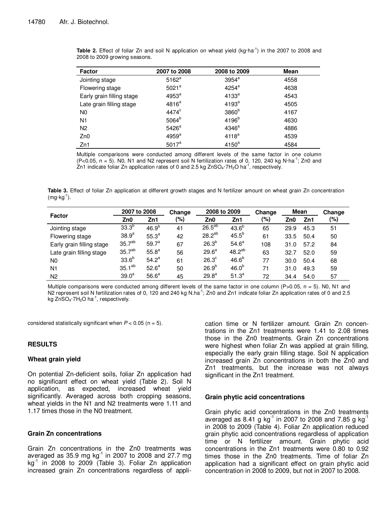| Factor                    | 2007 to 2008      | 2008 to 2009      | Mean |
|---------------------------|-------------------|-------------------|------|
| Jointing stage            | $5162^a$          | $3954^a$          | 4558 |
| Flowering stage           | 5021 <sup>a</sup> | $4254^a$          | 4638 |
| Early grain filling stage | 4953 <sup>a</sup> | 4133 <sup>a</sup> | 4543 |
| Late grain filling stage  | $4816^a$          | 4193 <sup>a</sup> | 4505 |
| N <sub>0</sub>            | $4474^{\circ}$    | 3860 <sup>b</sup> | 4167 |
| N <sub>1</sub>            | 5064 <sup>b</sup> | 4196 <sup>b</sup> | 4630 |
| N <sub>2</sub>            | 5426 <sup>a</sup> | 4346 <sup>a</sup> | 4886 |
| Zn0                       | 4959 <sup>a</sup> | 4118 <sup>a</sup> | 4539 |
| Zn1                       | $5017^a$          | 4150 <sup>a</sup> | 4584 |

**Table 2.** Effect of foliar Zn and soil N application on wheat yield (kg·ha<sup>-1</sup>) in the 2007 to 2008 and 2008 to 2009 growing seasons.

Multiple comparisons were conducted among different levels of the same factor in one column  $(P<0.05, n = 5)$ . N0, N1 and N2 represent soil N fertilization rates of 0, 120, 240 kg N·ha<sup>-1</sup>; Zn0 and Zn1 indicate foliar Zn application rates of 0 and 2.5 kg  $ZnSO_4 \cdot 7H_2O$  ha<sup>-1</sup>, respectively.

Table 3. Effect of foliar Zn application at different growth stages and N fertilizer amount on wheat grain Zn concentration  $(mg·kg<sup>-1</sup>)$ .

|                           | 2007 to 2008       |                   | Change | 2008 to 2009      |                   | Change | Mean |      | Change |
|---------------------------|--------------------|-------------------|--------|-------------------|-------------------|--------|------|------|--------|
| <b>Factor</b>             | Zn0                | Zn1               | (%)    | Zn0               | Zn1               | (%)    | Zn0  | Zn1  | (%)    |
| Jointing stage            | 33.3 <sup>b</sup>  | 46.9 <sup>b</sup> | 41     | $26.5^{ab}$       | $43.6^{b}$        | 65     | 29.9 | 45.3 | 51     |
| Flowering stage           | 38.9 <sup>a</sup>  | 55.3 <sup>a</sup> | 42     | $28.2^{ab}$       | $45.5^{b}$        | 61     | 33.5 | 50.4 | 50     |
| Early grain filling stage | 35.7 <sup>ab</sup> | $59.7^a$          | 67     | $26.3^{b}$        | $54.6^a$          | 108    | 31.0 | 57.2 | 84     |
| Late grain filling stage  | 35.7 <sup>ab</sup> | 55.8 <sup>a</sup> | 56     | $29.6^a$          | $48.2^{ab}$       | 63     | 32.7 | 52.0 | 59     |
| N <sub>0</sub>            | 33.6 <sup>b</sup>  | $54.2^{\circ}$    | 61     | 26.3 <sup>c</sup> | 46.6 <sup>b</sup> | 77     | 30.0 | 50.4 | 68     |
| N <sub>1</sub>            | $35.1^{ab}$        | $52.6^{\circ}$    | 50     | $26.9^{b}$        | 46.0 <sup>b</sup> | 71     | 31.0 | 49.3 | 59     |
| N <sub>2</sub>            | 39.0 <sup>a</sup>  | 56.6 <sup>a</sup> | 45     | 29.8 <sup>a</sup> | $51.3^{a}$        | 72     | 34.4 | 54.0 | 57     |

Multiple comparisons were conducted among different levels of the same factor in one column (P>0.05,  $n = 5$ ). N0, N1 and N2 represent soil N fertilization rates of 0, 120 and 240 kg N.ha<sup>-1</sup>; Zn0 and Zn1 indicate foliar Zn application rates of 0 and 2.5 kg ZnSO<sub>4</sub> $\cdot$ 7H<sub>2</sub>O ha $^{-1}$ , respectively.

considered statistically significant when  $P < 0.05$  (n = 5).

## **RESULTS**

#### **Wheat grain yield**

On potential Zn-deficient soils, foliar Zn application had no significant effect on wheat yield (Table 2). Soil N application, as expected, increased wheat yield significantly. Averaged across both cropping seasons, wheat yields in the N1 and N2 treatments were 1.11 and 1.17 times those in the N0 treatment.

## **Grain Zn concentrations**

Grain Zn concentrations in the Zn0 treatments was averaged as  $35.9$  mg  $\text{kg}^{-1}$  in 2007 to 2008 and 27.7 mg  $kg<sup>-1</sup>$  in 2008 to 2009 (Table 3). Foliar Zn application increased grain Zn concentrations regardless of application time or N fertilizer amount. Grain Zn concentrations in the Zn1 treatments were 1.41 to 2.08 times those in the Zn0 treatments. Grain Zn concentrations were highest when foliar Zn was applied at grain filling, especially the early grain filling stage. Soil N application increased grain Zn concentrations in both the Zn0 and Zn1 treatments, but the increase was not always significant in the Zn1 treatment.

#### **Grain phytic acid concentrations**

Grain phytic acid concentrations in the Zn0 treatments averaged as 8.41 g kg $^{-1}$  in 2007 to 2008 and 7.85 g kg $^{-1}$ in 2008 to 2009 (Table 4). Foliar Zn application reduced grain phytic acid concentrations regardless of application time or N fertilizer amount. Grain phytic acid concentrations in the Zn1 treatments were 0.80 to 0.92 times those in the Zn0 treatments. Time of foliar Zn application had a significant effect on grain phytic acid concentration in 2008 to 2009, but not in 2007 to 2008.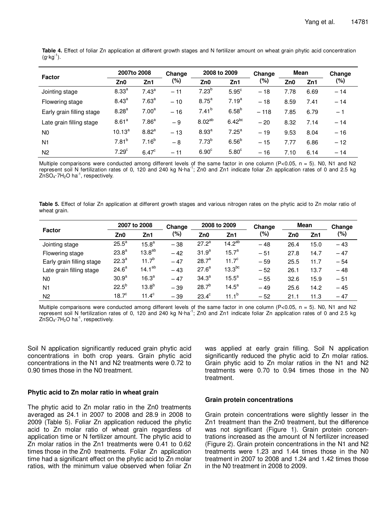| <b>Factor</b>             | 2007to 2008       |                   | Change | 2008 to 2009       |                   | Change | Mean |      | Change |
|---------------------------|-------------------|-------------------|--------|--------------------|-------------------|--------|------|------|--------|
|                           | Zn0               | Zn1               | (%)    | Zn0                | Zn1               | (%)    | Zn0  | Zn1  | (%)    |
| Jointing stage            | 8.33 <sup>a</sup> | 7.43 <sup>a</sup> | $-11$  | $7.23^{b}$         | $5.95^{\circ}$    | $-18$  | 7.78 | 6.69 | $-14$  |
| Flowering stage           | $8.43^{a}$        | 7.63 <sup>a</sup> | $-10$  | 8.75 <sup>a</sup>  | 7.19 <sup>a</sup> | $-18$  | 8.59 | 7.41 | $-14$  |
| Early grain filling stage | 8.28 <sup>a</sup> | 7.00 <sup>a</sup> | $-16$  | $7.41^{b}$         | 6.58 <sup>b</sup> | $-118$ | 7.85 | 6.79 | $-1$   |
| Late grain filling stage  | 8.61 <sup>a</sup> | 7.86 <sup>a</sup> | - 9    | 8.02 <sup>ab</sup> | $6.42^{bc}$       | $-20$  | 8.32 | 7.14 | $-14$  |
| N <sub>0</sub>            | $10.13^{a}$       | 8.82 <sup>a</sup> | $-13$  | 8.93 <sup>a</sup>  | 7.25 <sup>a</sup> | $-19$  | 9.53 | 8.04 | $-16$  |
| N <sub>1</sub>            | $7.81^{b}$        | $7.16^{b}$        | $-8$   | $7.73^{b}$         | 6.56 <sup>b</sup> | $-15$  | 7.77 | 6.86 | $-12$  |
| N <sub>2</sub>            | 7.29 <sup>c</sup> | $6.47^{\circ}$    | $-11$  | 6.90 <sup>c</sup>  | 5.80 <sup>c</sup> | $-16$  | 7.10 | 6.14 | $-14$  |

**Table 4.** Effect of foliar Zn application at different growth stages and N fertilizer amount on wheat grain phytic acid concentration  $(g \cdot kg^{-1})$ .

Multiple comparisons were conducted among different levels of the same factor in one column ( $P<0.05$ ,  $n = 5$ ). N0, N1 and N2 represent soil N fertilization rates of 0, 120 and 240 kg N·ha<sup>-1</sup>; Zn0 and Zn1 indicate foliar Zn application rates of 0 and 2.5 kg  $ZnSO<sub>4</sub>·7H<sub>2</sub>O$  ha<sup>-1</sup>, respectively.

**Table 5.** Effect of foliar Zn application at different growth stages and various nitrogen rates on the phytic acid to Zn molar ratio of wheat grain.

|                           | 2007 to 2008      |                   | Change | 2008 to 2009      |                | Change | <b>Mean</b> |      | Change |
|---------------------------|-------------------|-------------------|--------|-------------------|----------------|--------|-------------|------|--------|
| Factor                    | Zn0               | Zn1               | (%)    | Zn0               | Zn1            | $(\%)$ | Zn0         | Zn1  | (%)    |
| Jointing stage            | $25.5^a$          | $15.8^{a}$        | $-38$  | $27.2^a$          | $14.2^{ab}$    | $-48$  | 26.4        | 15.0 | $-43$  |
| Flowering stage           | 23.8 <sup>a</sup> | $13.8^{ab}$       | $-42$  | 31.9 <sup>a</sup> | $15.7^a$       | $-51$  | 27.8        | 14.7 | $-47$  |
| Early grain filling stage | $22.3^{a}$        | $11.7^{b}$        | $-47$  | 28.7 <sup>a</sup> | $11.7^{\circ}$ | $-59$  | 25.5        | 11.7 | $-54$  |
| Late grain filling stage  | 24.6 <sup>a</sup> | $14.1^{ab}$       | $-43$  | $27.6^a$          | $13.3^{bc}$    | $-52$  | 26.1        | 13.7 | $-48$  |
| N <sub>0</sub>            | 30.9 <sup>a</sup> | 16.3 <sup>a</sup> | $-47$  | $34.3^{a}$        | $15.5^a$       | $-55$  | 32.6        | 15.9 | $-51$  |
| N <sub>1</sub>            | $22.5^{b}$        | 13.8 <sup>b</sup> | $-39$  | $28.7^{b}$        | $14.5^a$       | $-49$  | 25.6        | 14.2 | $-45$  |
| N <sub>2</sub>            | 18.7 <sup>c</sup> | $11.4^\circ$      | $-39$  | $23.4^\circ$      | $11.1^{b}$     | $-52$  | 21.1        | 11.3 | $-47$  |

Multiple comparisons were conducted among different levels of the same factor in one column ( $P<0.05$ ,  $n = 5$ ). N0, N1 and N2 represent soil N fertilization rates of 0, 120 and 240 kg N·ha<sup>-1</sup>; Zn0 and Zn1 indicate foliar Zn application rates of 0 and 2.5 kg  $ZnSO_4 \cdot 7H_2O$  ha<sup>-1</sup>, respectively.

Soil N application significantly reduced grain phytic acid concentrations in both crop years. Grain phytic acid concentrations in the N1 and N2 treatments were 0.72 to 0.90 times those in the N0 treatment.

## **Phytic acid to Zn molar ratio in wheat grain**

The phytic acid to Zn molar ratio in the Zn0 treatments averaged as 24.1 in 2007 to 2008 and 28.9 in 2008 to 2009 (Table 5). Foliar Zn application reduced the phytic acid to Zn molar ratio of wheat grain regardless of application time or N fertilizer amount. The phytic acid to Zn molar ratios in the Zn1 treatments were 0.41 to 0.62 times those in the Zn0 treatments. Foliar Zn application time had a significant effect on the phytic acid to Zn molar ratios, with the minimum value observed when foliar Zn was applied at early grain filling. Soil N application significantly reduced the phytic acid to Zn molar ratios. Grain phytic acid to Zn molar ratios in the N1 and N2 treatments were 0.70 to 0.94 times those in the N0 treatment.

## **Grain protein concentrations**

Grain protein concentrations were slightly lesser in the Zn1 treatment than the Zn0 treatment, but the difference was not significant (Figure 1). Grain protein concentrations increased as the amount of N fertilizer increased (Figure 2). Grain protein concentrations in the N1 and N2 treatments were 1.23 and 1.44 times those in the N0 treatment in 2007 to 2008 and 1.24 and 1.42 times those in the N0 treatment in 2008 to 2009.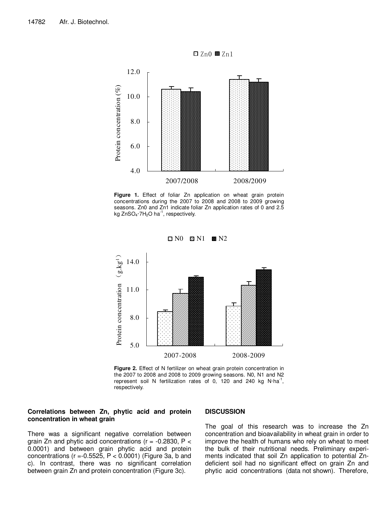



**Figure 1.** Effect of foliar Zn application on wheat grain protein concentrations during the 2007 to 2008 and 2008 to 2009 growing seasons. Zn0 and Zn1 indicate foliar Zn application rates of 0 and 2.5 kg ZnSO<sub>4</sub> $\cdot$ 7H<sub>2</sub>O ha<sup>-1</sup>, respectively.



**Figure 2.** Effect of N fertilizer on wheat grain protein concentration in the 2007 to 2008 and 2008 to 2009 growing seasons. N0, N1 and N2 represent soil N fertilization rates of 0, 120 and 240 kg N·ha<sup>-1</sup>, respectively.

#### **Correlations between Zn, phytic acid and protein concentration in wheat grain**

## There was a significant negative correlation between grain Zn and phytic acid concentrations ( $r = -0.2830$ ,  $P <$ 0.0001) and between grain phytic acid and protein concentrations ( $r = -0.5525$ ,  $P < 0.0001$ ) (Figure 3a, b and c). In contrast, there was no significant correlation between grain Zn and protein concentration (Figure 3c).

#### **DISCUSSION**

The goal of this research was to increase the Zn concentration and bioavailability in wheat grain in order to improve the health of humans who rely on wheat to meet the bulk of their nutritional needs. Preliminary experiments indicated that soil Zn application to potential Zndeficient soil had no significant effect on grain Zn and phytic acid concentrations (data not shown). Therefore,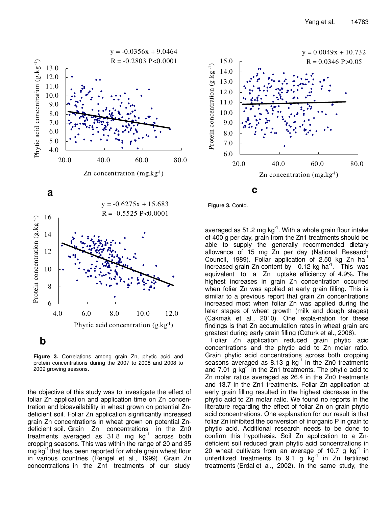





**Figure 3.** Correlations among grain Zn, phytic acid and protein concentrations during the 2007 to 2008 and 2008 to 2009 growing seasons.

the objective of this study was to investigate the effect of foliar Zn application and application time on Zn concentration and bioavailability in wheat grown on potential Zndeficient soil. Foliar Zn application significantly increased grain Zn concentrations in wheat grown on potential Zndeficient soil. Grain Zn concentrations in the Zn0 treatments averaged as  $31.8$  mg  $kg^{-1}$  across both cropping seasons. This was within the range of 20 and 35 mg kg<sup>-1</sup> that has been reported for whole grain wheat flour in various countries (Rengel et al., 1999). Grain Zn concentrations in the Zn1 treatments of our study

**Figure 3.** Contd.

averaged as 51.2 mg  $kg^{-1}$ . With a whole grain flour intake of 400 g per day, grain from the Zn1 treatments should be able to supply the generally recommended dietary allowance of 15 mg Zn per day (National Research Council, 1989). Foliar application of 2.50 kg Zn ha<sup>1</sup> increased grain Zn content by  $0.12$  kg ha<sup>-1</sup>. This was equivalent to a Zn uptake efficiency of 4.9%. The highest increases in grain Zn concentration occurred when foliar Zn was applied at early grain filling. This is similar to a previous report that grain Zn concentrations increased most when foliar Zn was applied during the later stages of wheat growth (milk and dough stages) (Cakmak et al., 2010). One expla-nation for these findings is that Zn accumulation rates in wheat grain are greatest during early grain filling (Ozturk et al., 2006).

Foliar Zn application reduced grain phytic acid concentrations and the phytic acid to Zn molar ratio. Grain phytic acid concentrations across both cropping seasons averaged as  $8.13$  g kg<sup>-1</sup> in the Zn0 treatments and 7.01 g  $kg^{-1}$  in the Zn1 treatments. The phytic acid to Zn molar ratios averaged as 26.4 in the Zn0 treatments and 13.7 in the Zn1 treatments. Foliar Zn application at early grain filling resulted in the highest decrease in the phytic acid to Zn molar ratio. We found no reports in the literature regarding the effect of foliar Zn on grain phytic acid concentrations. One explanation for our result is that foliar Zn inhibited the conversion of inorganic P in grain to phytic acid. Additional research needs to be done to confirm this hypothesis. Soil Zn application to a Zndeficient soil reduced grain phytic acid concentrations in 20 wheat cultivars from an average of 10.7 g  $kg^{-1}$  in unfertilized treatments to  $9.1$  g kg<sup>-1</sup> in Zn fertilized treatments (Erdal et al., 2002). In the same study, the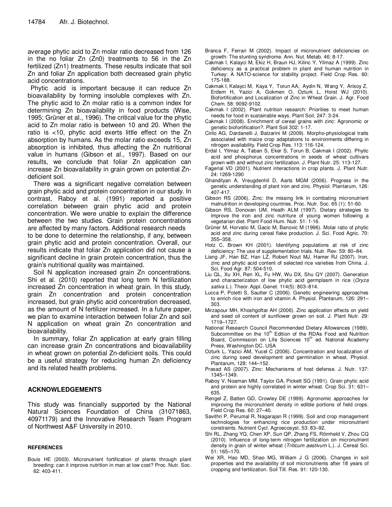average phytic acid to Zn molar ratio decreased from 126 in the no foliar Zn (Zn0) treatments to 56 in the Zn fertilized (Zn1) treatments. These results indicate that soil Zn and foliar Zn application both decreased grain phytic acid concentrations.

Phytic acid is important because it can reduce Zn bioavailability by forming insoluble complexes with Zn. The phytic acid to Zn molar ratio is a common index for determining Zn bioavailability in food products (Wise, 1995; Grüner et al., 1996). The critical value for the phytic acid to Zn molar ratio is between 10 and 20. When the ratio is <10, phytic acid exerts little effect on the Zn absorption by humans. As the molar ratio exceeds 15, Zn absorption is inhibited, thus affecting the Zn nutritional value in humans (Gibson et al., 1997). Based on our results, we conclude that foliar Zn application can increase Zn bioavailability in grain grown on potential Zndeficient soil.

There was a significant negative correlation between grain phytic acid and protein concentration in our study. In contrast, Raboy et al. (1991) reported a positive correlation between grain phytic acid and protein concentration. We were unable to explain the difference between the two studies. Grain protein concentrations are affected by many factors. Additional research needs to be done to determine the relationship, if any, between grain phytic acid and protein concentration. Overall, our results indicate that foliar Zn application did not cause a significant decline in grain protein concentration, thus the grain's nutritional quality was maintained.

Soil N application increased grain Zn concentrations. Shi et al. (2010) reported that long term N fertilization increased Zn concentration in wheat grain. In this study, grain Zn concentration and protein concentration increased, but grain phytic acid concentration decreased, as the amount of N fertilizer increased. In a future paper, we plan to examine interaction between foliar Zn and soil N application on wheat grain Zn concentration and bioavailability.

In summary, foliar Zn application at early grain filling can increase grain Zn concentrations and bioavailability in wheat grown on potential Zn-deficient soils. This could be a useful strategy for reducing human Zn deficiency and its related health problems.

## **ACKNOWLEDGEMENTS**

This study was financially supported by the National Natural Sciences Foundation of China (31071863, 40971179) and the Innovative Research Team Program of Northwest A&F University in 2010.

#### **REFERENCES**

Bouis HE (2003). Micronutrient fortification of plants through plant breeding: can it improve nutrition in man at low cost? Proc. Nutr. Soc. 62: 403-411.

- Branca F, Ferrari M (2002). Impact of micronutrient deficiencies on growth: The stunting syndrome. Ann. Nut. Metab. 46: 8-17.
- Cakmak I, Kalayci M, Ekiz H, Braun HJ, Kilinc Y, Yilmaz A (1999). Zinc deficiency as a practical problem in plant and human nutrition in Turkey: A NATO-science for stability project. Field Crop Res. 60: 175-188.
- Cakmak I, Kalayci M, Kaya Y, Torun AA, Aydin N, Wang Y, Arisoy Z, Erdem H, Yazici A, Gokmen O, Ozturk L, Horst WJ (2010). Biofortification and Localization of Zinc in Wheat Grain. J. Agr. Food Chem. 58: 9092-9102.
- Cakmak I (2002). Plant nutrition research: Priorities to meet human needs for food in sustainable ways. Plant Soil, 247: 3-24.
- Cakmak I (2008). Enrichment of cereal grains with zinc: Agronomic or genetic biofortification?. Plant Soil 302: 1-17.
- Cirilo AG, Dardanelli J, Balzarini M (2009). Morpho-physiological traits associated with maize crop adaptations to environments differing in nitrogen availability. Field Crop Res. 113: 116-124.
- Erdal I, Yilmaz A, Taban S, Eker S, Torun B, Cakmak I (2002). Phytic acid and phosphorus concentrations in seeds of wheat cultivars grown with and without zinc fertilization. J. Plant Nutr. 25: 113-127.
- Fagerial VD (2001). Nutrient interactions in crop plants. J. Plant Nutr. 24: 1269-1290
- Ghandilyan A, Vreugdenhil D, Aarts MGM (2006). Progress in the genetic understanding of plant iron and zinc. Physiol. Plantarum, 126: 407-417.
- Gibson RS (2006). Zinc: the missing link in combating micronutrient malnutrition in developing countries. Proc. Nutr. Soc. 65 (1): 51-60.
- Gibson RS, Donovan UM, Heath ALM (1997). Dietary strategies to improve the iron and zinc nutriture of young women following a vegetarian diet. Plant Food Hum. Nutr. 51: 1-16.
- Grüner M, Horvatic M, Gacic M, Banovic M (1996). Molar ratio of phytic acid and zinc during cereal flake production. J. Sci. Food Agric. 70: 355–358.
- Hotz C, Brown KH (2001). Identifying populations at risk of zinc deficiency: The use of supplementation trials. Nutr. Rev. 59: 80–84.
- Liang JF, Han BZ, Han LZ, Robert Nout MJ, Hamer RJ (2007). Iron, zinc and phytic acid content of selected rice varieties from China. J. Sci. Food Agr. 87: 504-510.
- Liu QL, Xu XH, Ren XL, Fu HW, Wu DX, Shu QY (2007). Generation and characterization of low phytic acid germplasm in rice (Oryza sativa L.). Theor. Appl. Genet. 114(5): 803–814.
- Lucca P, Poletti S, Sautter C (2006). Genetic engineering approaches to enrich rice with iron and vitamin A. Physiol. Plantarum, 126: 291– 303.
- Mirzapour MH, Khoshgoftar AH (2006). Zinc application effects on yield and seed oil content of sunflower grown on soil. J. Plant Nutr. 29: 1719–1727.
- National Research Council Recommended Dietary Allowances (1989). Subcommittee on the 10<sup>th</sup> Edition of the RDAs Food and Nutrition Board, Commission on Life Sciences 10<sup>th</sup> ed. National Academy Press, Washington DC. USA
- Ozturk L, Yazici AM, Yucel C (2006). Concentration and localization of zinc during seed development and germination in wheat. Physiol. Plantarum, 128: 144–152.
- Prasad AS (2007). Zinc: Mechanisms of host defense. J. Nutr. 137: 1345–1349.
- Raboy V, Noaman MM, Taylor GA, Pickett SG (1991). Grain phytic acid and protein are highly correlated in winter wheat. Crop Sci. 31: 631– 635.
- Rengel Z, Batten GD, Crowley DE (1999). Agronomic approaches for improving the micronutrient density in edible portions of field crops. Field Crop Res. 60: 27–40.
- Savithri P, Perumal R, Nagarajan R (1999). Soil and crop management technologies for enhancing rice production under micronutrient constraints. Nutrient Cycl. Agroecosyst. 53: 83–92.
- Shi RL, Zhang YQ, Chen XP, Sun QP, Zhang FS, Römheld V, Zhou CQ (2010). Influence of long-term nitrogen fertilization on micronutrient density in grain of winter wheat (Triticum aestivum L.). J. Cereal Sci. 51: 165–170.
- Wei XR, Hao MD, Shao MG, William J G (2006). Changes in soil properties and the availability of soil micronutrients after 18 years of cropping and fertilization. Soil Till. Res. 91: 120-130.